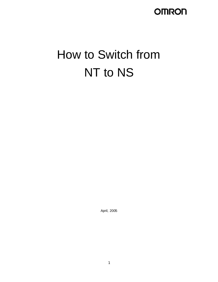# **OMRON**

# How to Switch from NT to NS

April, 2005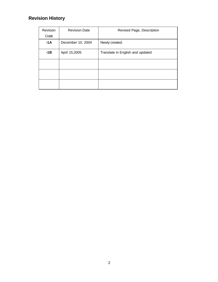# **Revision History**

| Revision | <b>Revision Date</b> | Revised Page, Description        |
|----------|----------------------|----------------------------------|
| Code     |                      |                                  |
| $-1A$    | December 10, 2004    | Newly created.                   |
| $-1B$    | April 15,2005        | Translate in English and updated |
|          |                      |                                  |
|          |                      |                                  |
|          |                      |                                  |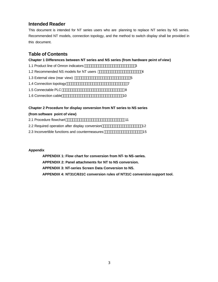### **Intended Reader**

This document is intended for NT series users who are planning to replace NT series by NS series. Recommended NT models, connection topology, and the method to switch display shall be provided in this document.

### **Table of Contents**

### **Chapter 1 Differences between NT series and NS series (from hardware point of view)**

| 1.1 Product line of Omron indicators   | 3  |
|----------------------------------------|----|
| 1.2 Recommended NS models for NT users |    |
| 1.3 External view (rear view)          | 5  |
| 1.4 Connection topology                |    |
| 1.5 Connectable PLC                    | 8  |
| 1.6 Connection cable                   | 10 |

### **Chapter 2 Procedure for display conversion from NT series to NS series**

| (from software point of view)                   |    |     |
|-------------------------------------------------|----|-----|
| 2.1 Procedure flowchart                         | 11 |     |
| 2.2 Required operation after display conversion |    | 12. |
| 2.3 Inconvertible functions and countermeasures |    | 15  |

### **Appendix**

**APPENDIX 1: Flow chart for conversion from NT- to NS-series. APPENDIX 2: Panel attachments for NT to NS conversion. APPENDIX 3: NT-series Screen Data Conversion to NS. APPENDIX 4: NT31C/631C conversion rules of NT31C conversion support tool.**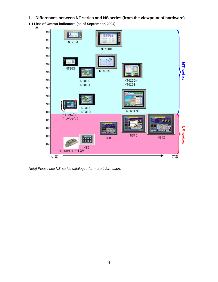**1. Differences between NT series and NS series (from the viewpoint of hardware)**

**1.1 Line of Omron indicators (as of September, 2004)**



*Note) Please see NS-series catalogue for more information.*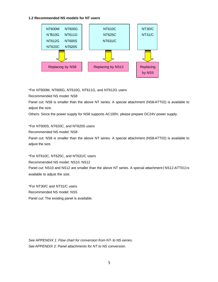#### **1.2 Recommended NS models for NT users**



\*For NT600M, NT600G, NT610G, NT611G, and NT612G users

Recommended NS model: NS8

Panel cut: NS8 is smaller than the above NT series. A special attachment (NS8-ATT02) is available to adjust the size.

Others: Since the power supply for NS8 supports AC100V, please prepare DC24V power supply.

\*For NT600S, NT620C, and NT620S users

Recommended NS model: NS8

Panel cut: NS8 is smaller than the above NT series. A special attachment (NS8-ATT02) is available to adjust the size.

\*For NT610C, NT625C, and NT631/C users Recommended NS model: NS10, NS12 Panel cut: NS10 and NS12 are smaller than the above NT series. A special attachment (NS12-ATT01) is available to adjust the size.

\*For NT30/C and NT31/C users Recommended NS model: NS5 Panel cut: The existing panel is available.

*See APPENDIX 1: Flow chart for conversion from NT- to NS-series. See APPENDIX 2: Panel attachments for NT to NS conversion.*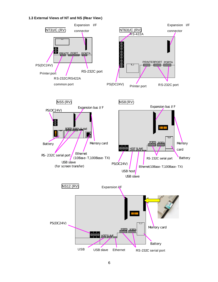### **1.3 External Views of NT and NS (Rear View)**

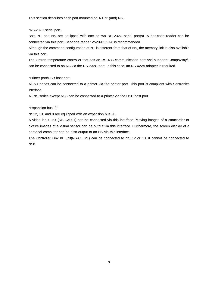This section describes each port mounted on NT or (and) NS.

#### \*RS-232C serial port

Both NT and NS are equipped with one or two RS-232C serial port(s). A bar-code reader can be connected via this port. Bar-code reader V520-RH21-6 is recommended.

Although the command configuration of NT is different from that of NS, the memory link is also available via this port.

The Omron temperature controller that has an RS-485 communication port and supports CompoWay/F can be connected to an NS via the RS-232C port. In this case, an RS-422A adapter is required.

### \*Printer port/USB host port

All NT series can be connected to a printer via the printer port. This port is compliant with Sentronics interface.

All NS series except NS5 can be connected to a printer via the USB host port.

### \*Expansion bus I/F

NS12, 10, and 8 are equipped with an expansion bus I/F.

A video input unit (NS-CA001) can be connected via this interface. Moving images of a camcorder or picture images of a visual sensor can be output via this interface. Furthermore, the screen display of a personal computer can be also output to an NS via this interface.

The Controller Link I/F unit(NS-CLK21) can be connected to NS 12 or 10. It cannot be connected to NS8.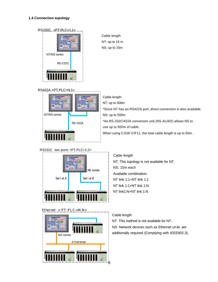### **1.4 Connection topology**



Cable length NT: up to 15 m NS: up to 15m

### RS422A <PT:PLC=N:1>



Cable length NT: up to 500m \*Since NT has an RS422A port, direct connection is also available. NS: up to 500m \*An RS-232C/422A conversion unit (NS-AL002) allows NS to use up to 500m of cable. When using CJ1W-CIF11, the total cable length is up to 50m .

# RS232C two ports <PT:PLC=1:2> SerialA SerialB NS series

### Ethernet < PT:PLC=M:N>



Cable length NT: This topology is not available for NT. NS: 15m each Available combination: NT link 1:1+NT link 1:1 NT link 1:1+NT link 1:N NT link1:N+NT link 1:N

### Cable length

NT: This method is not available for NT. NS: Network devices such as Ethernet un its are additionally required (Complying with IEEE802.3).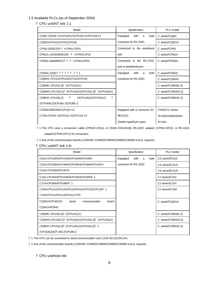### 1.5 Available PLCs (as of September 2004)

### ? CPU unit/NT link 1:1

| Model                                                | Specification                  | PLC model           |
|------------------------------------------------------|--------------------------------|---------------------|
| COM1-CPU41-V1/CPU42-V1/CPU43-V1/CPU44-V1             | Equipped<br>9-pin<br>with<br>a | C series?COM1       |
| CQM1H-CPU21/CPU51/CPU61                              | connector for RS-232C.         | C series?COM1H      |
| CPM1-10/20CDR-? +CPM1-CIF01                          | Connected to the peripheral    | C series?CPM1       |
| CPM1A-10/20/30/40CD? -? +CPM1-CIF01                  | port.                          | C series?CPM1A      |
| CPM2A-30/40/60CD? ? -? +CPM1-CIF01                   | Connected to the RS-232C       | C series?CPM2A      |
|                                                      | port or peripheral port.       |                     |
| CPM2C-10/20? ? ? ? ? ? -? ? 1                        | Equipped<br>with<br>9-pin<br>a | C series?CPM2C      |
| C200HS-CPU21/CPU23/CPU31/CPU33                       | connector for RS-232C.         | C series?C200HS     |
| C200HE-CPU32(-Z)? 2/CPU42(-Z)                        |                                | C series?C200HE(-Z) |
| C200HG-CPU33(-Z)? 2/CPU43(-Z)/CPU53(-Z)? 2/CPU63(-Z) |                                | C series?C200HG(-Z) |
| C200HX-CPU34(-Z) ?<br>?<br>2/CPU44(-Z)/CPU54(-Z)     |                                | C series?C200HX(-Z) |
| 2/CPU64(-Z)/CPU65-Z/CPU85-Z                          |                                |                     |
| CV500/1000/2000-CPU01-V1                             | Equipped with a connector for  | CVM1/CV series      |
| CVM1-CPU01-V2/CPU11-V2/CPU21-V2                      | <b>RS-232C</b>                 | ?CV500/1000/2000H   |
|                                                      | (Switch type/9-pin type)       | ?CVM1               |

? 1: The CPU uses a conversion cable (CPM2C-CN111 or CS1W-CN114/118), RS-232C adapter (CPM1-CIF01), or RS-422A adapter(CPM1-CIF11) for conversion.

? 2: Any of the communication boards (C200HW-COM02/COM04/COM05/COM06(-V1)) is required.

? CPU unit/NT link 1:N

| Model                                                | Specification                  | PLC model                   |
|------------------------------------------------------|--------------------------------|-----------------------------|
| CS1G-CPU42H/CPU43H/CPU44H/CPU45H                     | Equipped<br>9-pin<br>with<br>a | CS series?CS1G              |
| CS1H-CPU63H/CPU64H/CPU65H/CPU66H/CPU67H              | connector for RS-232C          | CS series CS1H              |
| CS1D-CPU65H/CPU67H                                   |                                | CS series CS <sub>1</sub> D |
| CJ1G-CPU42H/CPU43H/CPU44H/CPU45H? 1                  |                                | CJ series CJ1G              |
| CJ1HCPU65H/CPU66H? 1                                 |                                | CJ series CJ1H              |
| CJ1M-CPU11/CPU12/CPU13/CPU21/CPU22/CPU23? 1          |                                | CJ series CJ1M              |
| CJ1M-CPU11/CPU12/CPU13 ETN                           |                                |                             |
| COM1H-CPU61/51<br>communication<br>serial<br>board   |                                | C series?COM1H              |
| COM1H-SCB41                                          |                                |                             |
| C200HE-CPU32(-Z)? 2/CPU42(-Z)                        |                                | C series?C200HE(-Z)         |
| C200HG-CPU33(-Z)? 2/CPU43(-Z)/CPU53(-Z)? 2/CPU63(-Z) |                                | C series?C200HG(-Z)         |
| C200HX-CPU34(-Z)? 2/CPU44(-Z)/CPU54(-Z)? 2           |                                | C series?C200HX(-Z)         |
| /CPU64(-Z)/CP U65-Z/CPU85-Z                          |                                |                             |

? 1: The CPU can be connected to serial communication unit CJ1W-SCU21/SCU41.

? 2: Any of the communication boards (C200HW-COM02/COM04/COM05/COM06(-V1)) is required.

? CPU unit/host link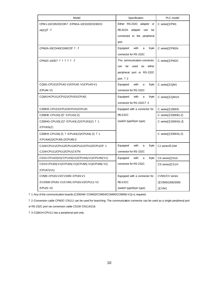| Model                                            | Specification                          | PLC model           |
|--------------------------------------------------|----------------------------------------|---------------------|
| CPM 1-10CDR/20CDR-? /CPM1A-10CD/20CD/30CD        | Either RS-232C adapter or              | C series CPM1       |
| /40CD? -?                                        | <b>RS-422A</b><br>adapter<br>can<br>be |                     |
|                                                  | connected to the peripheral            |                     |
|                                                  | port.                                  |                     |
| CPM2A-30CD/40CD/60CD? ? -?                       | Equipped<br>with<br>9-pin<br>a         | C series CPM2A      |
|                                                  | connector for RS-232C                  |                     |
| CPM2C-10/20? ? ? ? ? ? -?                        | The communication connector            | C series CPM2C      |
|                                                  | be<br>used<br>as<br>either<br>can      |                     |
|                                                  | peripheral port or RS-232C             |                     |
|                                                  | port. ? 2                              |                     |
| CQM1-CPU21/CPU41-V1/CPU42-V1/CPU43-V1            | Equipped<br>with<br>9-pin<br>a         | C series CQM1       |
| /CPU44-V1                                        | connector for RS-232C                  |                     |
| CQM1H-CPU11/CPU21/CPU51/CPU61                    | Equipped<br>with<br>9-pin<br>a         | C series CQM1H      |
|                                                  | connector for RS-232C? 3               |                     |
| C200HS-CPU21/CPU23/CPU31/CPU33                   | Equipped with a connector for          | C series C200HS     |
| C200HE-CPU32(-Z)? /CPU42(-Z)                     | <b>RS-232C</b>                         | C series C200HE(-Z) |
| C200HG-CPU33(-Z)? /CPU43(-Z)/CPU53(-Z) ? 1       | (switch type/9-pin type)               | C series C200HG(-Z) |
| /CPU63(-Z)                                       |                                        |                     |
| C200HX-CPU34(-Z) ? /CPU44(-Z)/CPU54(-Z) ? 1      |                                        | C series C200HX(-Z) |
| /CPU64(-Z)/CPU65-Z/CPU85-Z                       |                                        |                     |
| CJ1M-CPU11/CPU12/CPU13/CPU21/CPU22/CPU23? 1      | Equipped<br>with<br>9-pin<br>a         | CJ series ?CJ1M     |
| CJ1M-CPU11/CPU12/CPU13 ETN                       | connector for RS-232C                  |                     |
| CS1G-CPU42(-V1)/CPU43(-V1)/CPU44(-V1)/CPU45(-V1) | Equipped<br>with<br>9-pin<br>a         | CS series CS1G      |
| CS1H-CPU63(-V1)/CPU64(-V1)/CPU65(-V1)/CPU66(-V1) | connector for RS-232C                  | CS series CS1H      |
| /CPU67(-V1)                                      |                                        |                     |
| CV500-CPU01-V1/CV1000-CPU01-V1                   | Equipped with a connector for          | CVM1/CV series      |
| /CV2000-CPU01-V1/CVM1-CPU01-V2/CPU11-V2          | <b>RS-232C</b>                         | CV500/1000/2000     |
| /CPU21-V2                                        | (switch type/9-pin type)               | CVM <sub>1</sub>    |

? 1: Any of the communication boards (C200HW-COM02/COM04/COM05/COM06(-V1)) is required.

? 2: Conversion cable CPM2C-CN111 can be used for branching. The communication connector can be used as a single peripheral port

or RS-232C port via conversion cable CS1W -CN114/118.

? 3: CQM1H-CPU11 has a peripheral port only.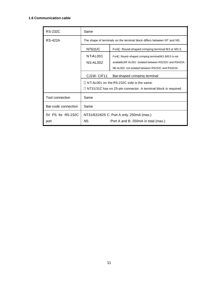### **1.6 Communication cable**

| <b>RS-232C</b>      | Same                                                                    |                                                                 |
|---------------------|-------------------------------------------------------------------------|-----------------------------------------------------------------|
| <b>RS-422A</b>      | The shape of terminals on the terminal block differs between NT and NS. |                                                                 |
|                     | NT631/C                                                                 | Round-shaped crimping terminal M3 or M3.5.<br>Fork              |
|                     | NT-AL001                                                                | Fork Round-shaped crimping terminal M3 (M3.5 is not             |
|                     | NS-AL002                                                                | available)NT-AL001: Isolated between RS232C and RS422A.         |
|                     |                                                                         | NS-AL002: not isolated between RS232C and RS422A.               |
|                     | CJ1W-CIF11                                                              | Bar-shaped crimping terminal                                    |
|                     |                                                                         | NT-AL001 on the RS-232C side is the same.                       |
|                     |                                                                         | NT31/31C has no 25-pin connector. A terminal block is required. |
| Tool connection     | Same                                                                    |                                                                 |
| Bar-code connection | Same                                                                    |                                                                 |
| 5V PS for RS-232C   | NT31/631/625 C: Port A only. 250mA (max.)                               |                                                                 |
| port                | NS.                                                                     | :Port A and B. 250mA in total (max.)                            |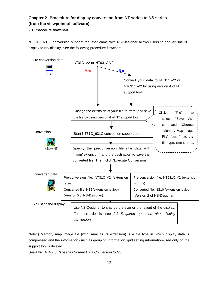## **Chapter 2 Procedure for display conversion from NT series to NS series (from the viewpoint of software)**

### **2.1 Procedure flowchart**

NT 31C 631C conversion support tool that came with NS-Designer allows users to convert the NT display to NS display. See the following procedure flowchart.



Note1) Memory map image file (with .mmi as its extension) is a file type in which display data is compressed and the information (such as grouping information, grid setting information)used only on the support tool is deleted.

*See APPENDIX 3: NT-series Screen Data Conversion to NS*.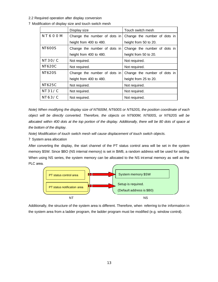- 2.2 Required operation after display conversion
- ? Modification of display size and touch switch mesh

|               | Display size                 | Touch switch mesh            |
|---------------|------------------------------|------------------------------|
| N T 6 0 0 M   | Change the number of dots in | Change the number of dots in |
|               | height from 400 to 480.      | height from 50 to 20.        |
| <b>NT600S</b> | Change the number of dots in | Change the number of dots in |
|               | height from 400 to 480.      | height from 50 to 20.        |
| NT30/C        | Not required.                | Not required.                |
| <b>NT620C</b> | Not required.                | Not required.                |
| <b>NT620S</b> | Change the number of dots in | Change the number of dots in |
|               | height from 400 to 480.      | height from 25 to 20.        |
| NT625C        | Not required.                | Not required.                |
| NT31/C        | Not required.                | Not required.                |
| NT63/C        | Not required.                | Not required.                |

*Note) When modifying the display size of NT600M, NT600S or NT620S, the position coordinate of each object will be directly converted. Therefore, the objects on NT600M, NT600S, or NT620S will be allocated within 400 dots at the top portion of the display. Additionally, there will be 80 dots of space at the bottom of the display.*

*Note) Modification of touch switch mesh will cause displacement of touch switch objects.*

? System area allocation

After converting the display, the start channel of the PT status control area will be set in the system memory \$SW. Since \$BO (NS internal memory) is set in \$WB, a random address will be used for setting. When using NS series, the system memory can be allocated to the NS int ernal memory as well as the PLC area.



Additionally, the structure of the system area is different. Therefore, when referring to the information in the system area from a ladder program, the ladder program must be modified (e.g. window control).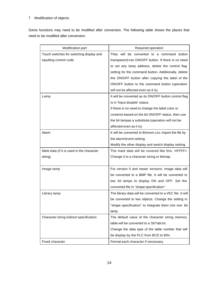### ? Modification of objects

Some functions may need to be modified after conversion. The following table shows the places that need to be modified after conversion:

| Modification part                         | Required operation                                        |
|-------------------------------------------|-----------------------------------------------------------|
| Touch switches for switching display and  | They will be converted to a command button                |
| inputting control code                    | transparent)+an ON/OFF button. If there is no need        |
|                                           | to set any lamp address, delete the control flag          |
|                                           | setting for the command button. Additionally, delete      |
|                                           | the ON/OFF button after copying the label of the          |
|                                           | ON/OFF button to the command button (operation            |
|                                           | will not be affected even as it is).                      |
| Lamp                                      | It will be converted as its ON/OFF button control flag    |
|                                           | is in 'input disable" status.                             |
|                                           | If there is no need to change the label color or          |
|                                           | contents based on the bit ON/OFF status, then use         |
|                                           | the bit lampas a substitute (operation will not be        |
|                                           | affected even as it is).                                  |
| Alarm                                     | It will be converted to Bitmem.csv. Import the file by    |
|                                           | the alarm/event setting.                                  |
|                                           | Modify the other display and switch display setting.      |
| Mark data (if it is used in the character | The mark data will be covered like this: <ffff>.</ffff>   |
| string)                                   | Change it to a character string or bitmap.                |
|                                           |                                                           |
| Image lamp                                | For version 5 and newer versions: Image data will         |
|                                           | be converted to a BMP file. It will be converted to       |
|                                           | two bit lamps to display ON and OFF. Set the              |
|                                           | converted file in "shape specification".                  |
| Library lamp                              | The library data will be converted to a VEC file. It will |
|                                           | be converted to two objects. Change the setting in        |
|                                           | "shape specification" to integrate them into one bit      |
|                                           | lamp.                                                     |
| Character string indirect specification   | The default value of the character string memory          |
|                                           | table will be converted to a StrTabl.txt.                 |
|                                           | Change the data type of the table number that will        |
|                                           | be display by the PLC from BCD to BIN.                    |
| Fixed character                           | Format each character if necessary.                       |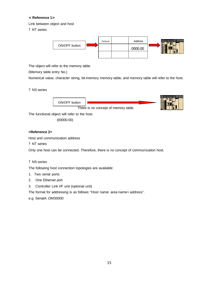### **< Reference 1>**

Link between object and host

? NT series



The object will refer to the memory table.

(Memory table entry No.)

Numerical value, character string, bit-memory memory table, and memory table will refer to the host.

### ? NS series



The functional object will refer to the host.

(00000.00)

### **<Reference 2>**

Host and communication address

? NT series

Only one host can be connected. Therefore, there is no concept of communication host.

### ? NS series

The following host connection topologies are available:

- 1. Two serial ports
- 2. One Ethernet port
- 3. Controller Link I/F unit (optional unit)

The format for addressing is as follows: "Host name: area name+ address".

e.g. SerialA: DM00000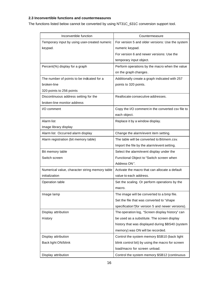### **2.3 Inconvertible functions and countermeasures**

The functions listed below cannot be converted by using NT31C\_631C conversion support tool.

| Inconvertible function                         | Countermeasure                                    |
|------------------------------------------------|---------------------------------------------------|
| Temporary input by using user-created numeric  | For version 5 and older versions: Use the system  |
| keypad.                                        | numeric keypad.                                   |
|                                                | For version 6 and newer versions: Use the         |
|                                                | temporary input object.                           |
| Percent(%) display for a graph                 | Perform operations by the macro when the value    |
|                                                | on the graph changes.                             |
| The number of points to be indcated for a      | Additionally create a graph indicated with 257    |
| broken-line                                    | points to 320 points.                             |
| 320 points to 256 points                       |                                                   |
| Discontinuous address setting for the          | Reallocate consecutive addresses.                 |
| broken-line monitor address                    |                                                   |
| I/O comment                                    | Copy the I/O comment in the converted csv file to |
|                                                | each object.                                      |
| Alarm list                                     | Replace it by a window display.                   |
| Image library display                          |                                                   |
| Alarm list Occurred alarm display              | Change the alarm/event item setting.              |
| Alarm registration (bit memory table)          | The table will be converted to Bitmem.csv.        |
|                                                | Import the file by the alarm/event setting.       |
| Bit memory table                               | Select the alarm/event display under the          |
| Switch screen                                  | Functional Object to "Switch screen when          |
|                                                | Address ON".                                      |
| Numerical value, character string memory table | Activate the macro that can allocate a default    |
| initialization                                 | value to each address.                            |
| Operation table                                | Set the scaling. Or perform operations by the     |
|                                                | macro.                                            |
| Image lamp                                     | The image will be converted to a bmp file.        |
|                                                | Set the file that was converted to "shape         |
|                                                | specification"(for version 5 and newer versions). |
| Display attribution                            | The operation log, "Screen display history" can   |
| History                                        | be used as a substitute. The screen display       |
|                                                | history that was displayed during \$BS40 (system  |
|                                                | memory) was ON will be recorded.                  |
| Display attribution                            | Control the system memory \$SB10 (back light      |
| Back light ON/blink                            | blink control bit) by using the macro for screen  |
|                                                | load/macro for screen unload.                     |
| Display attribution                            | Control the system memory \$SB12 (continuous      |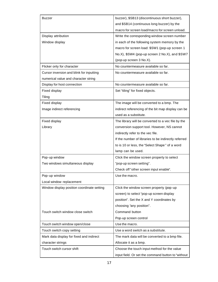| <b>Buzzer</b>                              | buzzer), \$SB13 (discontinuous short buzzer),        |
|--------------------------------------------|------------------------------------------------------|
|                                            | and \$SB14 (continuous long buzzer) by the           |
|                                            | macro for screen load/macro for screen unload.       |
| Display attribution                        | Write the corresponding window screen number         |
| Window display                             | in each of the following system memory by the        |
|                                            | macro for screen load: \$SW1 (pop-up screen 1        |
|                                            | No.X), \$SW4 (pop-up screen 2 No.X), and \$SW7       |
|                                            | (pop-up screen 3 No.X).                              |
| Flicker only for character                 | No countermeasure available so far.                  |
| Cursor inversion and blink for inputting   | No countermeasure available so far.                  |
| numerical value and character string       |                                                      |
| Display for host connection                | No countermeasure available so far.                  |
| Fixed display                              | Set "tiling" for fixed objects.                      |
| Tiling                                     |                                                      |
| <b>Fixed display</b>                       | The image will be converted to a bmp. The            |
| Image indirect referencing                 | indirect referencing of the bit map display can be   |
|                                            | used as a substitute.                                |
| Fixed display                              | The library will be converted to a vec file by the   |
| Library                                    | conversion support tool. However, NS cannot          |
|                                            | indirectly refer to the vec file.                    |
|                                            | If the number of libraries to be indirectly referred |
|                                            | to is 10 or less, the "Select Shape" of a word       |
|                                            | lamp can be used.                                    |
| Pop-up window                              | Click the window screen property to select           |
| Two windows simultaneous display           | "pop-up screen setting".                             |
|                                            | Check off "other screen input enable".               |
| Pop-up window                              | Use the macro.                                       |
| Local window replacement                   |                                                      |
| Window display position coordinate setting | Click the window screen property (pop-up             |
|                                            | screen) to select "pop-up screen display             |
|                                            | position". Set the X and Y coordinates by            |
|                                            | choosing "any position".                             |
| Touch switch window close switch           | Command button                                       |
|                                            | Pop-up screen control                                |
| Touch switch window open/close             | Use the macro.                                       |
| Touch switch copy setting                  | Use a word switch as a substitute.                   |
| Mark data display for fixed and indirect   | The mark data will be converted to a bmp file.       |
| character strings                          | Allocate it as a bmp.                                |
| Touch switch cursor shift                  | Choose the touch input method for the value          |
|                                            | input field. Or set the command button to "without   |